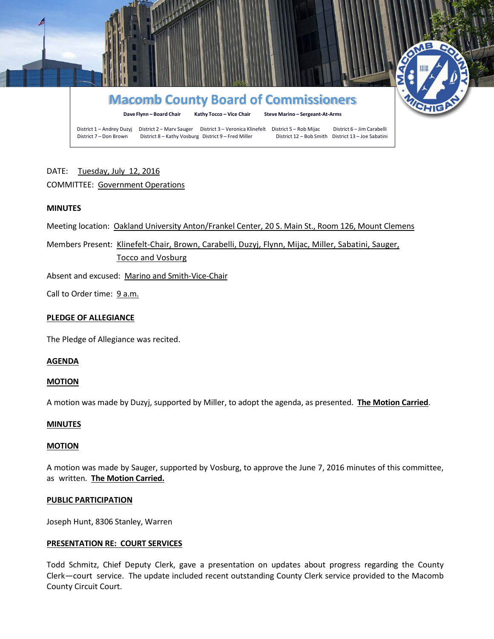

# DATE: Tuesday, July 12, 2016 COMMITTEE: Government Operations

# **MINUTES**

Meeting location: Oakland University Anton/Frankel Center, 20 S. Main St., Room 126, Mount Clemens

Members Present: Klinefelt-Chair, Brown, Carabelli, Duzyj, Flynn, Mijac, Miller, Sabatini, Sauger, Tocco and Vosburg

Absent and excused: Marino and Smith-Vice-Chair

Call to Order time: 9 a.m.

# **PLEDGE OF ALLEGIANCE**

The Pledge of Allegiance was recited.

# **AGENDA**

# **MOTION**

A motion was made by Duzyj, supported by Miller, to adopt the agenda, as presented. **The Motion Carried**.

# **MINUTES**

# **MOTION**

A motion was made by Sauger, supported by Vosburg, to approve the June 7, 2016 minutes of this committee, as written. **The Motion Carried.**

# **PUBLIC PARTICIPATION**

Joseph Hunt, 8306 Stanley, Warren

# **PRESENTATION RE: COURT SERVICES**

Todd Schmitz, Chief Deputy Clerk, gave a presentation on updates about progress regarding the County Clerk—court service. The update included recent outstanding County Clerk service provided to the Macomb County Circuit Court.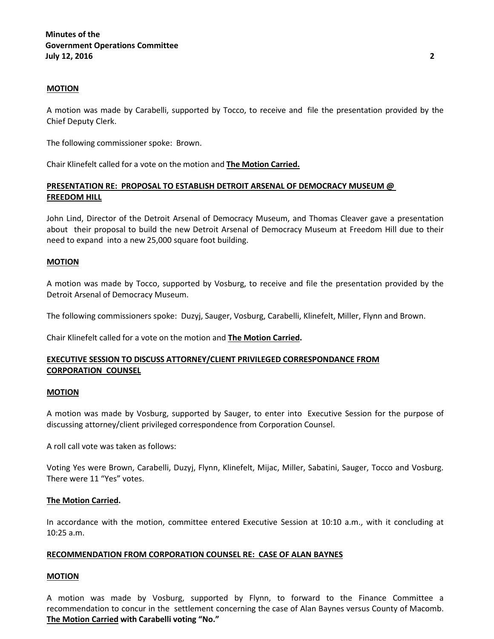### **MOTION**

A motion was made by Carabelli, supported by Tocco, to receive and file the presentation provided by the Chief Deputy Clerk.

The following commissioner spoke: Brown.

Chair Klinefelt called for a vote on the motion and **The Motion Carried.**

# **PRESENTATION RE: PROPOSAL TO ESTABLISH DETROIT ARSENAL OF DEMOCRACY MUSEUM @ FREEDOM HILL**

John Lind, Director of the Detroit Arsenal of Democracy Museum, and Thomas Cleaver gave a presentation about their proposal to build the new Detroit Arsenal of Democracy Museum at Freedom Hill due to their need to expand into a new 25,000 square foot building.

#### **MOTION**

A motion was made by Tocco, supported by Vosburg, to receive and file the presentation provided by the Detroit Arsenal of Democracy Museum.

The following commissioners spoke: Duzyj, Sauger, Vosburg, Carabelli, Klinefelt, Miller, Flynn and Brown.

Chair Klinefelt called for a vote on the motion and **The Motion Carried.**

# **EXECUTIVE SESSION TO DISCUSS ATTORNEY/CLIENT PRIVILEGED CORRESPONDANCE FROM CORPORATION COUNSEL**

#### **MOTION**

A motion was made by Vosburg, supported by Sauger, to enter into Executive Session for the purpose of discussing attorney/client privileged correspondence from Corporation Counsel.

A roll call vote was taken as follows:

Voting Yes were Brown, Carabelli, Duzyj, Flynn, Klinefelt, Mijac, Miller, Sabatini, Sauger, Tocco and Vosburg. There were 11 "Yes" votes.

# **The Motion Carried.**

In accordance with the motion, committee entered Executive Session at 10:10 a.m., with it concluding at 10:25 a.m.

# **RECOMMENDATION FROM CORPORATION COUNSEL RE: CASE OF ALAN BAYNES**

# **MOTION**

A motion was made by Vosburg, supported by Flynn, to forward to the Finance Committee a recommendation to concur in the settlement concerning the case of Alan Baynes versus County of Macomb. **The Motion Carried with Carabelli voting "No."**